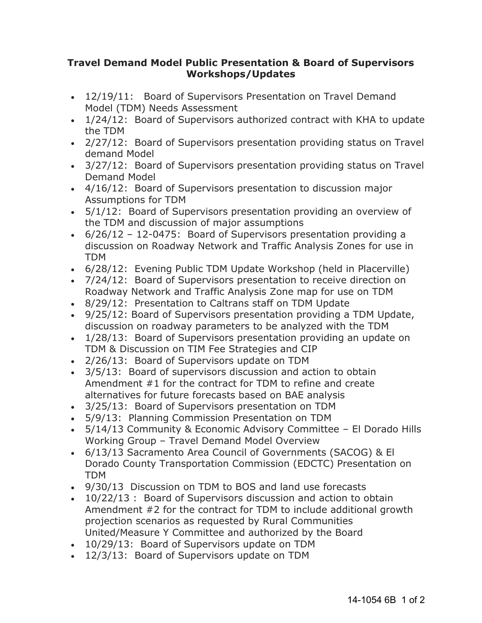## **Travel Demand Model Public Presentation & Board of Supervisors Workshops/Updates**

- 12/19/11: Board of Supervisors Presentation on Travel Demand Model (TDM) Needs Assessment
- 1/24/12: Board of Supervisors authorized contract with KHA to update the TDM
- 2/27/12: Board of Supervisors presentation providing status on Travel demand Model
- 3/27/12: Board of Supervisors presentation providing status on Travel Demand Model
- 4/16/12: Board of Supervisors presentation to discussion major Assumptions for TDM
- 5/1/12: Board of Supervisors presentation providing an overview of the TDM and discussion of major assumptions
- $\cdot$  6/26/12 12-0475: Board of Supervisors presentation providing a discussion on Roadway Network and Traffic Analysis Zones for use in TDM
- 6/28/12: Evening Public TDM Update Workshop (held in Placerville)
- 7/24/12: Board of Supervisors presentation to receive direction on Roadway Network and Traffic Analysis Zone map for use on TDM
- 8/29/12: Presentation to Caltrans staff on TDM Update
- 9/25/12: Board of Supervisors presentation providing a TDM Update, discussion on roadway parameters to be analyzed with the TDM
- 1/28/13: Board of Supervisors presentation providing an update on TDM & Discussion on TIM Fee Strategies and CIP
- 2/26/13: Board of Supervisors update on TDM
- 3/5/13: Board of supervisors discussion and action to obtain Amendment #1 for the contract for TDM to refine and create alternatives for future forecasts based on BAE analysis
- 3/25/13: Board of Supervisors presentation on TDM
- 5/9/13: Planning Commission Presentation on TDM
- 5/14/13 Community & Economic Advisory Committee El Dorado Hills Working Group – Travel Demand Model Overview
- 6/13/13 Sacramento Area Council of Governments (SACOG) & El Dorado County Transportation Commission (EDCTC) Presentation on TDM
- 9/30/13 Discussion on TDM to BOS and land use forecasts
- 10/22/13 : Board of Supervisors discussion and action to obtain Amendment #2 for the contract for TDM to include additional growth projection scenarios as requested by Rural Communities United/Measure Y Committee and authorized by the Board
- 10/29/13: Board of Supervisors update on TDM
- $\bullet$  12/3/13: Board of Supervisors update on TDM